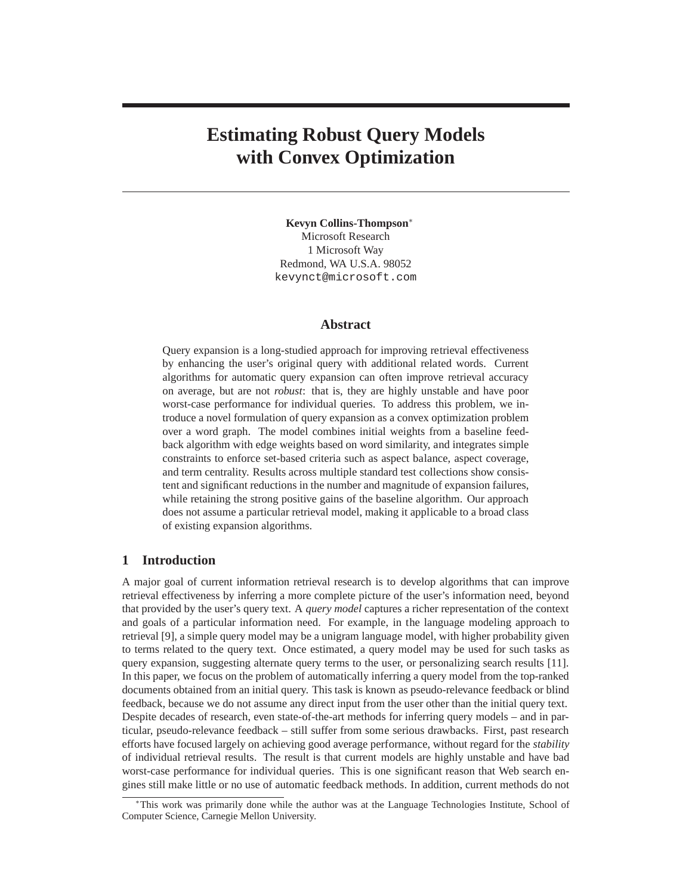# **Estimating Robust Query Models with Convex Optimization**

**Kevyn Collins-Thompson**<sup>∗</sup> Microsoft Research 1 Microsoft Way Redmond, WA U.S.A. 98052 kevynct@microsoft.com

# **Abstract**

Query expansion is a long-studied approach for improving retrieval effectiveness by enhancing the user's original query with additional related words. Current algorithms for automatic query expansion can often improve retrieval accuracy on average, but are not *robust*: that is, they are highly unstable and have poor worst-case performance for individual queries. To address this problem, we introduce a novel formulation of query expansion as a convex optimization problem over a word graph. The model combines initial weights from a baseline feedback algorithm with edge weights based on word similarity, and integrates simple constraints to enforce set-based criteria such as aspect balance, aspect coverage, and term centrality. Results across multiple standard test collections show consistent and significant reductions in the number and magnitude of expansion failures, while retaining the strong positive gains of the baseline algorithm. Our approach does not assume a particular retrieval model, making it applicable to a broad class of existing expansion algorithms.

## **1 Introduction**

A major goal of current information retrieval research is to develop algorithms that can improve retrieval effectiveness by inferring a more complete picture of the user's information need, beyond that provided by the user's query text. A *query model* captures a richer representation of the context and goals of a particular information need. For example, in the language modeling approach to retrieval [9], a simple query model may be a unigram language model, with higher probability given to terms related to the query text. Once estimated, a query model may be used for such tasks as query expansion, suggesting alternate query terms to the user, or personalizing search results [11]. In this paper, we focus on the problem of automatically inferring a query model from the top-ranked documents obtained from an initial query. This task is known as pseudo-relevance feedback or blind feedback, because we do not assume any direct input from the user other than the initial query text. Despite decades of research, even state-of-the-art methods for inferring query models – and in particular, pseudo-relevance feedback – still suffer from some serious drawbacks. First, past research efforts have focused largely on achieving good average performance, without regard for the *stability* of individual retrieval results. The result is that current models are highly unstable and have bad worst-case performance for individual queries. This is one significant reason that Web search engines still make little or no use of automatic feedback methods. In addition, current methods do not

<sup>∗</sup>This work was primarily done while the author was at the Language Technologies Institute, School of Computer Science, Carnegie Mellon University.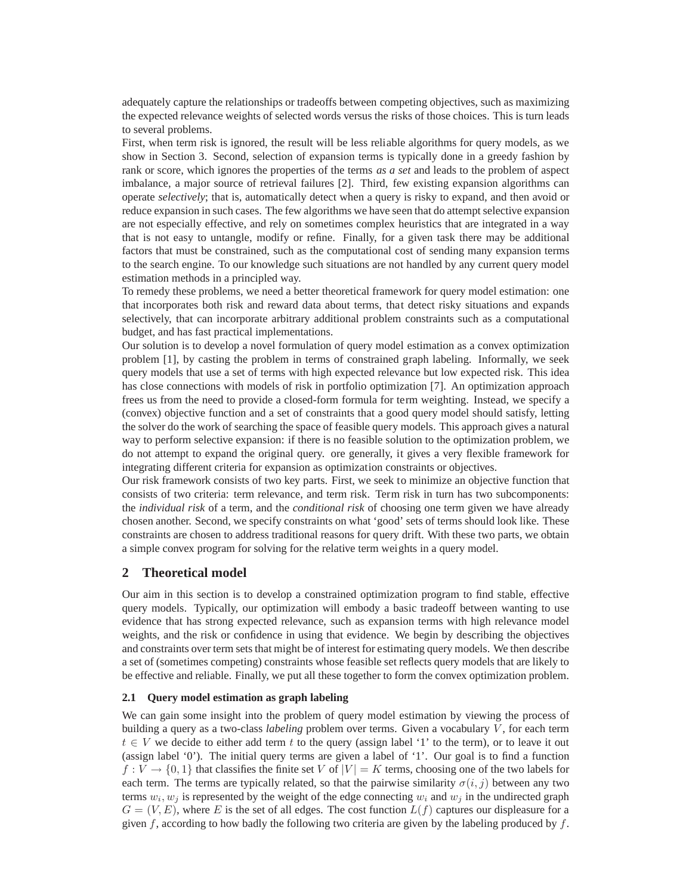adequately capture the relationships or tradeoffs between competing objectives, such as maximizing the expected relevance weights of selected words versus the risks of those choices. This is turn leads to several problems.

First, when term risk is ignored, the result will be less reliable algorithms for query models, as we show in Section 3. Second, selection of expansion terms is typically done in a greedy fashion by rank or score, which ignores the properties of the terms *as a set* and leads to the problem of aspect imbalance, a major source of retrieval failures [2]. Third, few existing expansion algorithms can operate *selectively*; that is, automatically detect when a query is risky to expand, and then avoid or reduce expansion in such cases. The few algorithms we have seen that do attempt selective expansion are not especially effective, and rely on sometimes complex heuristics that are integrated in a way that is not easy to untangle, modify or refine. Finally, for a given task there may be additional factors that must be constrained, such as the computational cost of sending many expansion terms to the search engine. To our knowledge such situations are not handled by any current query model estimation methods in a principled way.

To remedy these problems, we need a better theoretical framework for query model estimation: one that incorporates both risk and reward data about terms, that detect risky situations and expands selectively, that can incorporate arbitrary additional problem constraints such as a computational budget, and has fast practical implementations.

Our solution is to develop a novel formulation of query model estimation as a convex optimization problem [1], by casting the problem in terms of constrained graph labeling. Informally, we seek query models that use a set of terms with high expected relevance but low expected risk. This idea has close connections with models of risk in portfolio optimization [7]. An optimization approach frees us from the need to provide a closed-form formula for term weighting. Instead, we specify a (convex) objective function and a set of constraints that a good query model should satisfy, letting the solver do the work of searching the space of feasible query models. This approach gives a natural way to perform selective expansion: if there is no feasible solution to the optimization problem, we do not attempt to expand the original query. ore generally, it gives a very flexible framework for integrating different criteria for expansion as optimization constraints or objectives.

Our risk framework consists of two key parts. First, we seek to minimize an objective function that consists of two criteria: term relevance, and term risk. Term risk in turn has two subcomponents: the *individual risk* of a term, and the *conditional risk* of choosing one term given we have already chosen another. Second, we specify constraints on what 'good' sets of terms should look like. These constraints are chosen to address traditional reasons for query drift. With these two parts, we obtain a simple convex program for solving for the relative term weights in a query model.

## **2 Theoretical model**

Our aim in this section is to develop a constrained optimization program to find stable, effective query models. Typically, our optimization will embody a basic tradeoff between wanting to use evidence that has strong expected relevance, such as expansion terms with high relevance model weights, and the risk or confidence in using that evidence. We begin by describing the objectives and constraints over term sets that might be of interest for estimating query models. We then describe a set of (sometimes competing) constraints whose feasible set reflects query models that are likely to be effective and reliable. Finally, we put all these together to form the convex optimization problem.

## **2.1 Query model estimation as graph labeling**

We can gain some insight into the problem of query model estimation by viewing the process of building a query as a two-class *labeling* problem over terms. Given a vocabulary V , for each term  $t \in V$  we decide to either add term t to the query (assign label '1' to the term), or to leave it out (assign label '0'). The initial query terms are given a label of '1'. Our goal is to find a function  $f: V \to \{0, 1\}$  that classifies the finite set V of  $|V| = K$  terms, choosing one of the two labels for each term. The terms are typically related, so that the pairwise similarity  $\sigma(i, j)$  between any two terms  $w_i, w_j$  is represented by the weight of the edge connecting  $w_i$  and  $w_j$  in the undirected graph  $G = (V, E)$ , where E is the set of all edges. The cost function  $L(f)$  captures our displeasure for a given  $f$ , according to how badly the following two criteria are given by the labeling produced by  $f$ .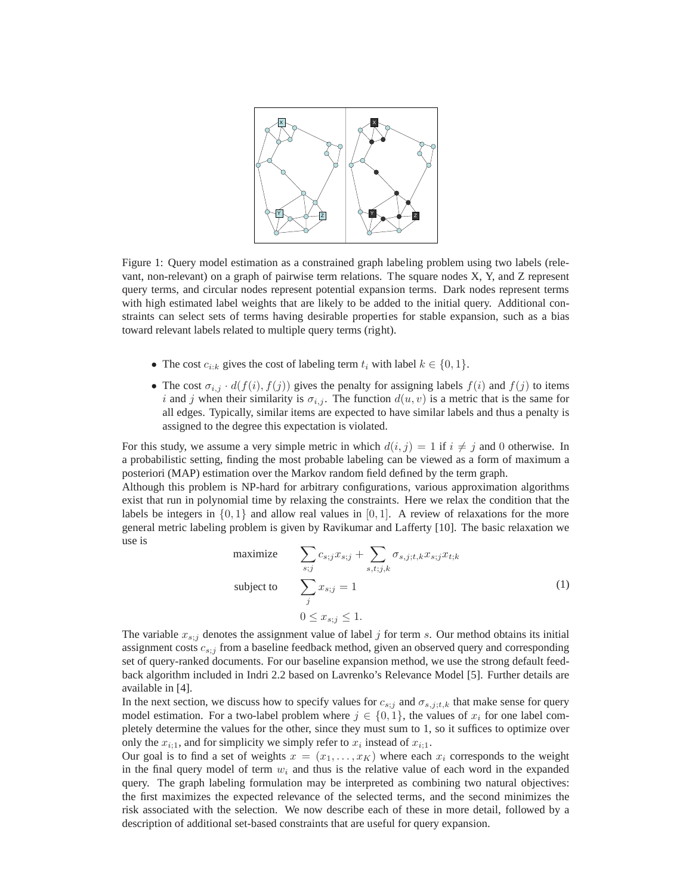

Figure 1: Query model estimation as a constrained graph labeling problem using two labels (relevant, non-relevant) on a graph of pairwise term relations. The square nodes X, Y, and Z represent query terms, and circular nodes represent potential expansion terms. Dark nodes represent terms with high estimated label weights that are likely to be added to the initial query. Additional constraints can select sets of terms having desirable properties for stable expansion, such as a bias toward relevant labels related to multiple query terms (right).

- The cost  $c_{i:k}$  gives the cost of labeling term  $t_i$  with label  $k \in \{0, 1\}$ .
- The cost  $\sigma_{i,j} \cdot d(f(i), f(j))$  gives the penalty for assigning labels  $f(i)$  and  $f(j)$  to items i and j when their similarity is  $\sigma_{i,j}$ . The function  $d(u, v)$  is a metric that is the same for all edges. Typically, similar items are expected to have similar labels and thus a penalty is assigned to the degree this expectation is violated.

For this study, we assume a very simple metric in which  $d(i, j) = 1$  if  $i \neq j$  and 0 otherwise. In a probabilistic setting, finding the most probable labeling can be viewed as a form of maximum a posteriori (MAP) estimation over the Markov random field defined by the term graph.

Although this problem is NP-hard for arbitrary configurations, various approximation algorithms exist that run in polynomial time by relaxing the constraints. Here we relax the condition that the labels be integers in  $\{0, 1\}$  and allow real values in  $[0, 1]$ . A review of relaxations for the more general metric labeling problem is given by Ravikumar and Lafferty [10]. The basic relaxation we use is

maximize 
$$
\sum_{s;j} c_{s;j} x_{s;j} + \sum_{s,t;j,k} \sigma_{s,j;t,k} x_{s;j} x_{t;k}
$$
  
subject to 
$$
\sum_{j} x_{s;j} = 1
$$

$$
0 \le x_{s;j} \le 1.
$$
 (1)

The variable  $x_{s,i}$  denotes the assignment value of label j for term s. Our method obtains its initial assignment costs  $c_{s;j}$  from a baseline feedback method, given an observed query and corresponding set of query-ranked documents. For our baseline expansion method, we use the strong default feedback algorithm included in Indri 2.2 based on Lavrenko's Relevance Model [5]. Further details are available in [4].

In the next section, we discuss how to specify values for  $c_{s;j}$  and  $\sigma_{s,j;t,k}$  that make sense for query model estimation. For a two-label problem where  $j \in \{0, 1\}$ , the values of  $x_i$  for one label completely determine the values for the other, since they must sum to 1, so it suffices to optimize over only the  $x_{i;1}$ , and for simplicity we simply refer to  $x_i$  instead of  $x_{i;1}$ .

Our goal is to find a set of weights  $x = (x_1, \ldots, x_K)$  where each  $x_i$  corresponds to the weight in the final query model of term  $w_i$  and thus is the relative value of each word in the expanded query. The graph labeling formulation may be interpreted as combining two natural objectives: the first maximizes the expected relevance of the selected terms, and the second minimizes the risk associated with the selection. We now describe each of these in more detail, followed by a description of additional set-based constraints that are useful for query expansion.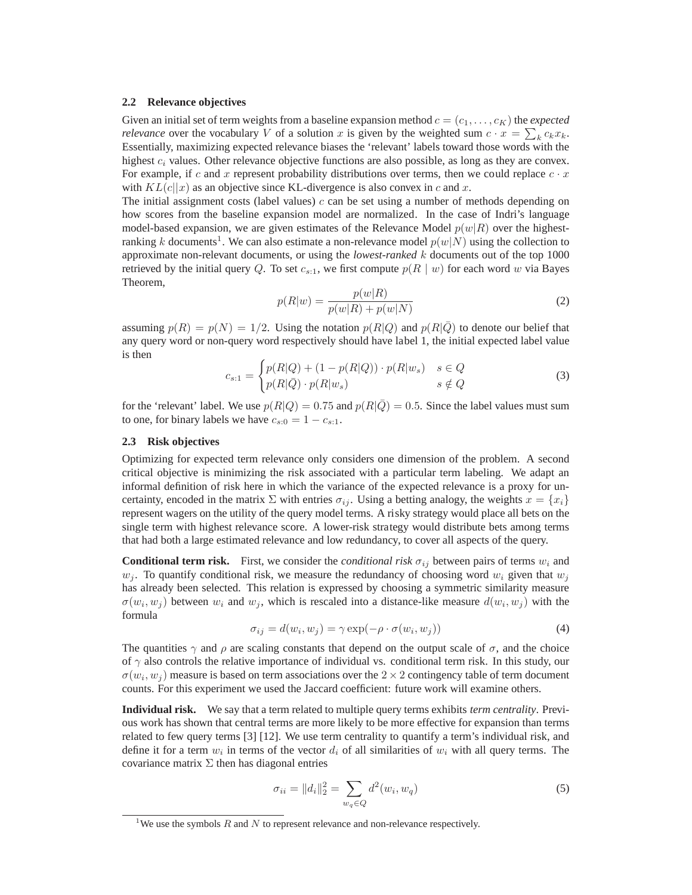#### **2.2 Relevance objectives**

Given an initial set of term weights from a baseline expansion method  $c = (c_1, \ldots, c_K)$  the *expected relevance* over the vocabulary V of a solution x is given by the weighted sum  $c \cdot x = \sum_{k} c_k x_k$ . Essentially, maximizing expected relevance biases the 'relevant' labels toward those words with the highest  $c_i$  values. Other relevance objective functions are also possible, as long as they are convex. For example, if c and x represent probability distributions over terms, then we could replace  $c \cdot x$ with  $KL(c||x)$  as an objective since KL-divergence is also convex in c and x.

The initial assignment costs (label values)  $c$  can be set using a number of methods depending on how scores from the baseline expansion model are normalized. In the case of Indri's language model-based expansion, we are given estimates of the Relevance Model  $p(w|R)$  over the highestranking k documents<sup>1</sup>. We can also estimate a non-relevance model  $p(w|N)$  using the collection to approximate non-relevant documents, or using the *lowest-ranked* k documents out of the top 1000 retrieved by the initial query Q. To set  $c_{s:1}$ , we first compute  $p(R | w)$  for each word w via Bayes Theorem,

$$
p(R|w) = \frac{p(w|R)}{p(w|R) + p(w|N)}
$$
 (2)

assuming  $p(R) = p(N) = 1/2$ . Using the notation  $p(R|Q)$  and  $p(R|Q)$  to denote our belief that any query word or non-query word respectively should have label 1, the initial expected label value is then

$$
c_{s:1} = \begin{cases} p(R|Q) + (1 - p(R|Q)) \cdot p(R|w_s) & s \in Q \\ p(R|\bar{Q}) \cdot p(R|w_s) & s \notin Q \end{cases}
$$
(3)

for the 'relevant' label. We use  $p(R|Q) = 0.75$  and  $p(R|\bar{Q}) = 0.5$ . Since the label values must sum to one, for binary labels we have  $c_{s:0} = 1 - c_{s:1}$ .

## **2.3 Risk objectives**

Optimizing for expected term relevance only considers one dimension of the problem. A second critical objective is minimizing the risk associated with a particular term labeling. We adapt an informal definition of risk here in which the variance of the expected relevance is a proxy for uncertainty, encoded in the matrix  $\Sigma$  with entries  $\sigma_{ij}$ . Using a betting analogy, the weights  $x = \{x_i\}$ represent wagers on the utility of the query model terms. A risky strategy would place all bets on the single term with highest relevance score. A lower-risk strategy would distribute bets among terms that had both a large estimated relevance and low redundancy, to cover all aspects of the query.

**Conditional term risk.** First, we consider the *conditional risk*  $\sigma_{ij}$  between pairs of terms  $w_i$  and  $w_i$ . To quantify conditional risk, we measure the redundancy of choosing word  $w_i$  given that  $w_i$ has already been selected. This relation is expressed by choosing a symmetric similarity measure  $\sigma(w_i, w_j)$  between  $w_i$  and  $w_j$ , which is rescaled into a distance-like measure  $d(w_i, w_j)$  with the formula

$$
\sigma_{ij} = d(w_i, w_j) = \gamma \exp(-\rho \cdot \sigma(w_i, w_j)) \tag{4}
$$

The quantities  $\gamma$  and  $\rho$  are scaling constants that depend on the output scale of  $\sigma$ , and the choice of  $\gamma$  also controls the relative importance of individual vs. conditional term risk. In this study, our  $\sigma(w_i, w_j)$  measure is based on term associations over the  $2 \times 2$  contingency table of term document counts. For this experiment we used the Jaccard coefficient: future work will examine others.

**Individual risk.** We say that a term related to multiple query terms exhibits *term centrality*. Previous work has shown that central terms are more likely to be more effective for expansion than terms related to few query terms [3] [12]. We use term centrality to quantify a term's individual risk, and define it for a term  $w_i$  in terms of the vector  $d_i$  of all similarities of  $w_i$  with all query terms. The covariance matrix  $\Sigma$  then has diagonal entries

$$
\sigma_{ii} = ||d_i||_2^2 = \sum_{w_q \in Q} d^2(w_i, w_q)
$$
\n(5)

<sup>&</sup>lt;sup>1</sup>We use the symbols  $R$  and  $N$  to represent relevance and non-relevance respectively.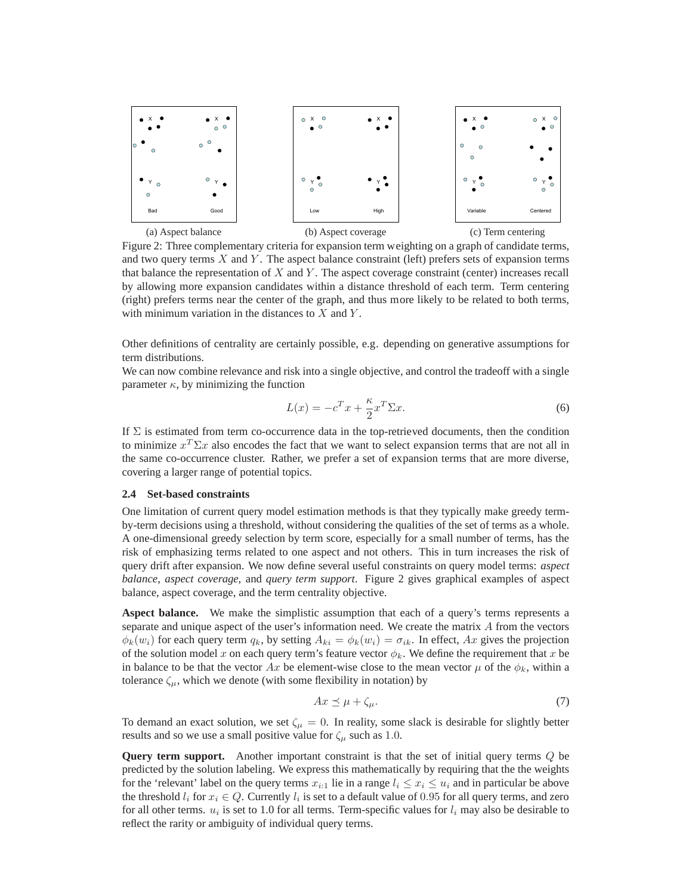

Figure 2: Three complementary criteria for expansion term weighting on a graph of candidate terms, and two query terms  $X$  and  $Y$ . The aspect balance constraint (left) prefers sets of expansion terms that balance the representation of  $X$  and  $Y$ . The aspect coverage constraint (center) increases recall by allowing more expansion candidates within a distance threshold of each term. Term centering (right) prefers terms near the center of the graph, and thus more likely to be related to both terms, with minimum variation in the distances to  $X$  and  $Y$ .

Other definitions of centrality are certainly possible, e.g. depending on generative assumptions for term distributions.

We can now combine relevance and risk into a single objective, and control the tradeoff with a single parameter  $\kappa$ , by minimizing the function

$$
L(x) = -c^T x + \frac{\kappa}{2} x^T \Sigma x.
$$
 (6)

If  $\Sigma$  is estimated from term co-occurrence data in the top-retrieved documents, then the condition to minimize  $x^T \Sigma x$  also encodes the fact that we want to select expansion terms that are not all in the same co-occurrence cluster. Rather, we prefer a set of expansion terms that are more diverse, covering a larger range of potential topics.

### **2.4 Set-based constraints**

One limitation of current query model estimation methods is that they typically make greedy termby-term decisions using a threshold, without considering the qualities of the set of terms as a whole. A one-dimensional greedy selection by term score, especially for a small number of terms, has the risk of emphasizing terms related to one aspect and not others. This in turn increases the risk of query drift after expansion. We now define several useful constraints on query model terms: *aspect balance*, *aspect coverage*, and *query term support*. Figure 2 gives graphical examples of aspect balance, aspect coverage, and the term centrality objective.

**Aspect balance.** We make the simplistic assumption that each of a query's terms represents a separate and unique aspect of the user's information need. We create the matrix A from the vectors  $\phi_k(w_i)$  for each query term  $q_k$ , by setting  $A_{ki} = \phi_k(w_i) = \sigma_{ik}$ . In effect, Ax gives the projection of the solution model x on each query term's feature vector  $\phi_k$ . We define the requirement that x be in balance to be that the vector Ax be element-wise close to the mean vector  $\mu$  of the  $\phi_k$ , within a tolerance  $\zeta_{\mu}$ , which we denote (with some flexibility in notation) by

$$
Ax \preceq \mu + \zeta_{\mu}.\tag{7}
$$

To demand an exact solution, we set  $\zeta_{\mu} = 0$ . In reality, some slack is desirable for slightly better results and so we use a small positive value for  $\zeta_{\mu}$  such as 1.0.

**Query term support.** Another important constraint is that the set of initial query terms Q be predicted by the solution labeling. We express this mathematically by requiring that the the weights for the 'relevant' label on the query terms  $x_{i:1}$  lie in a range  $l_i \leq x_i \leq u_i$  and in particular be above the threshold  $l_i$  for  $x_i \in Q$ . Currently  $l_i$  is set to a default value of 0.95 for all query terms, and zero for all other terms.  $u_i$  is set to 1.0 for all terms. Term-specific values for  $l_i$  may also be desirable to reflect the rarity or ambiguity of individual query terms.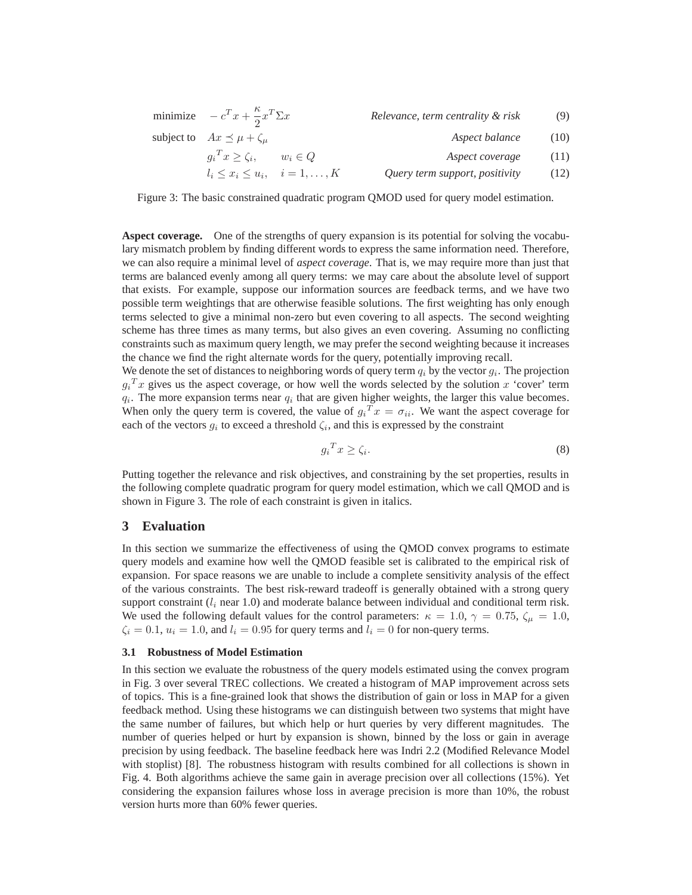| minimize $-c^T x + \frac{\kappa}{2} x^T \Sigma x$ |             | Relevance, term centrality & risk | (9)  |
|---------------------------------------------------|-------------|-----------------------------------|------|
| subject to $Ax \preceq \mu + \zeta_{\mu}$         |             | Aspect balance                    | (10) |
| $g_i{}^T x \geq \zeta_i,$                         | $w_i \in Q$ | Aspect coverage                   | (11) |
| $l_i \leq x_i \leq u_i, \quad i = 1, \ldots, K$   |             | Query term support, positivity    | (12) |

Figure 3: The basic constrained quadratic program QMOD used for query model estimation.

**Aspect coverage.** One of the strengths of query expansion is its potential for solving the vocabulary mismatch problem by finding different words to express the same information need. Therefore, we can also require a minimal level of *aspect coverage*. That is, we may require more than just that terms are balanced evenly among all query terms: we may care about the absolute level of support that exists. For example, suppose our information sources are feedback terms, and we have two possible term weightings that are otherwise feasible solutions. The first weighting has only enough terms selected to give a minimal non-zero but even covering to all aspects. The second weighting scheme has three times as many terms, but also gives an even covering. Assuming no conflicting constraints such as maximum query length, we may prefer the second weighting because it increases the chance we find the right alternate words for the query, potentially improving recall.

We denote the set of distances to neighboring words of query term  $q_i$  by the vector  $g_i$ . The projection  $g_i^T x$  gives us the aspect coverage, or how well the words selected by the solution x 'cover' term  $q_i$ . The more expansion terms near  $q_i$  that are given higher weights, the larger this value becomes. When only the query term is covered, the value of  $g_i^T x = \sigma_{ii}$ . We want the aspect coverage for each of the vectors  $g_i$  to exceed a threshold  $\zeta_i$ , and this is expressed by the constraint

$$
g_i^T x \ge \zeta_i. \tag{8}
$$

Putting together the relevance and risk objectives, and constraining by the set properties, results in the following complete quadratic program for query model estimation, which we call QMOD and is shown in Figure 3. The role of each constraint is given in italics.

## **3 Evaluation**

In this section we summarize the effectiveness of using the QMOD convex programs to estimate query models and examine how well the QMOD feasible set is calibrated to the empirical risk of expansion. For space reasons we are unable to include a complete sensitivity analysis of the effect of the various constraints. The best risk-reward tradeoff is generally obtained with a strong query support constraint  $(l_i$  near 1.0) and moderate balance between individual and conditional term risk. We used the following default values for the control parameters:  $\kappa = 1.0, \gamma = 0.75, \zeta_u = 1.0$ ,  $\zeta_i = 0.1$ ,  $u_i = 1.0$ , and  $l_i = 0.95$  for query terms and  $l_i = 0$  for non-query terms.

## **3.1 Robustness of Model Estimation**

In this section we evaluate the robustness of the query models estimated using the convex program in Fig. 3 over several TREC collections. We created a histogram of MAP improvement across sets of topics. This is a fine-grained look that shows the distribution of gain or loss in MAP for a given feedback method. Using these histograms we can distinguish between two systems that might have the same number of failures, but which help or hurt queries by very different magnitudes. The number of queries helped or hurt by expansion is shown, binned by the loss or gain in average precision by using feedback. The baseline feedback here was Indri 2.2 (Modified Relevance Model with stoplist) [8]. The robustness histogram with results combined for all collections is shown in Fig. 4. Both algorithms achieve the same gain in average precision over all collections (15%). Yet considering the expansion failures whose loss in average precision is more than 10%, the robust version hurts more than 60% fewer queries.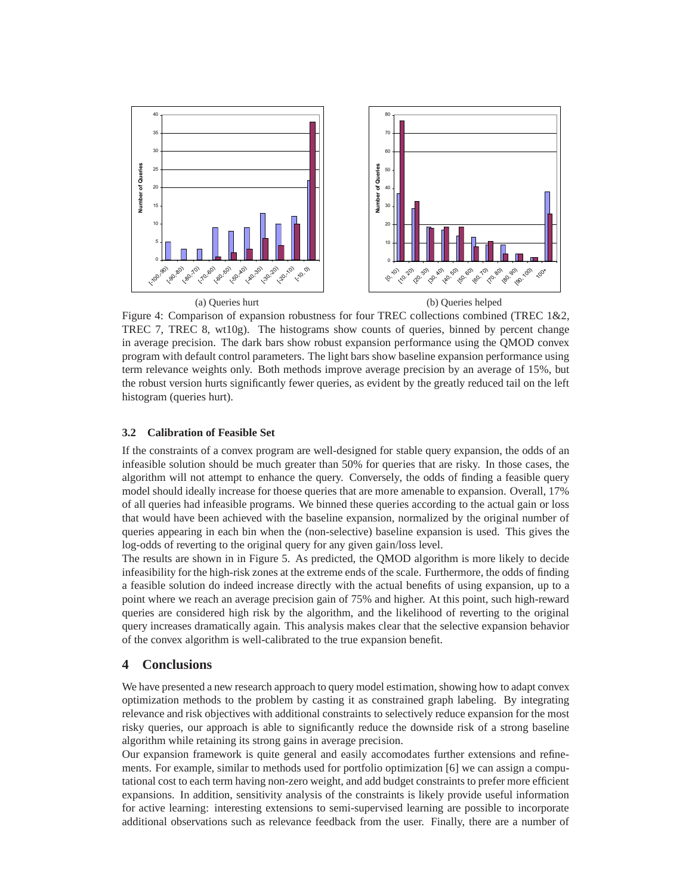

Figure 4: Comparison of expansion robustness for four TREC collections combined (TREC 1&2, TREC 7, TREC 8, wt10g). The histograms show counts of queries, binned by percent change in average precision. The dark bars show robust expansion performance using the QMOD convex program with default control parameters. The light bars show baseline expansion performance using term relevance weights only. Both methods improve average precision by an average of 15%, but the robust version hurts significantly fewer queries, as evident by the greatly reduced tail on the left histogram (queries hurt).

## **3.2 Calibration of Feasible Set**

If the constraints of a convex program are well-designed for stable query expansion, the odds of an infeasible solution should be much greater than 50% for queries that are risky. In those cases, the algorithm will not attempt to enhance the query. Conversely, the odds of finding a feasible query model should ideally increase for thoese queries that are more amenable to expansion. Overall, 17% of all queries had infeasible programs. We binned these queries according to the actual gain or loss that would have been achieved with the baseline expansion, normalized by the original number of queries appearing in each bin when the (non-selective) baseline expansion is used. This gives the log-odds of reverting to the original query for any given gain/loss level.

The results are shown in in Figure 5. As predicted, the QMOD algorithm is more likely to decide infeasibility for the high-risk zones at the extreme ends of the scale. Furthermore, the odds of finding a feasible solution do indeed increase directly with the actual benefits of using expansion, up to a point where we reach an average precision gain of 75% and higher. At this point, such high-reward queries are considered high risk by the algorithm, and the likelihood of reverting to the original query increases dramatically again. This analysis makes clear that the selective expansion behavior of the convex algorithm is well-calibrated to the true expansion benefit.

## **4 Conclusions**

We have presented a new research approach to query model estimation, showing how to adapt convex optimization methods to the problem by casting it as constrained graph labeling. By integrating relevance and risk objectives with additional constraints to selectively reduce expansion for the most risky queries, our approach is able to significantly reduce the downside risk of a strong baseline algorithm while retaining its strong gains in average precision.

Our expansion framework is quite general and easily accomodates further extensions and refinements. For example, similar to methods used for portfolio optimization [6] we can assign a computational cost to each term having non-zero weight, and add budget constraints to prefer more efficient expansions. In addition, sensitivity analysis of the constraints is likely provide useful information for active learning: interesting extensions to semi-supervised learning are possible to incorporate additional observations such as relevance feedback from the user. Finally, there are a number of